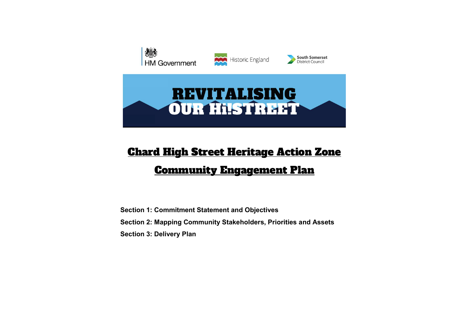

# Chard High Street Heritage Action Zone

## Community Engagement Plan

Section 1: Commitment Statement and Objectives Section 2: Mapping Community Stakeholders, Priorities and Assets Section 3: Delivery Plan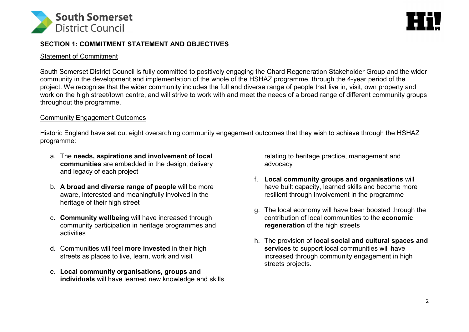



## SECTION 1: COMMITMENT STATEMENT AND OBJECTIVES

#### Statement of Commitment

South Somerset District Council is fully committed to positively engaging the Chard Regeneration Stakeholder Group and the wider community in the development and implementation of the whole of the HSHAZ programme, through the 4-year period of the project. We recognise that the wider community includes the full and diverse range of people that live in, visit, own property and work on the high street/town centre, and will strive to work with and meet the needs of a broad range of different community groups throughout the programme.

### Community Engagement Outcomes

Historic England have set out eight overarching community engagement outcomes that they wish to achieve through the HSHAZ programme:

- a. The needs, aspirations and involvement of local communities are embedded in the design, delivery and legacy of each project
- b. A broad and diverse range of people will be more aware, interested and meaningfully involved in the heritage of their high street
- c. Community wellbeing will have increased through community participation in heritage programmes and activities
- d. Communities will feel more invested in their high streets as places to live, learn, work and visit
- e. Local community organisations, groups and individuals will have learned new knowledge and skills

relating to heritage practice, management and advocacy

- f. Local community groups and organisations will have built capacity, learned skills and become more resilient through involvement in the programme
- g. The local economy will have been boosted through the contribution of local communities to the economic regeneration of the high streets
- h. The provision of local social and cultural spaces and services to support local communities will have increased through community engagement in high streets projects.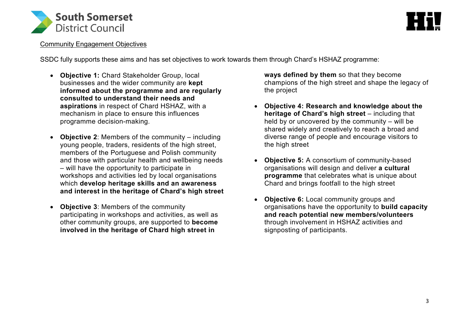



#### Community Engagement Objectives

SSDC fully supports these aims and has set objectives to work towards them through Chard's HSHAZ programme:

- Objective 1: Chard Stakeholder Group, local businesses and the wider community are kept informed about the programme and are regularly consulted to understand their needs and aspirations in respect of Chard HSHAZ, with a mechanism in place to ensure this influences programme decision-making.
- Objective 2: Members of the community including young people, traders, residents of the high street, members of the Portuguese and Polish community and those with particular health and wellbeing needs – will have the opportunity to participate in workshops and activities led by local organisations which develop heritage skills and an awareness and interest in the heritage of Chard's high street
- Objective 3: Members of the community participating in workshops and activities, as well as other community groups, are supported to become involved in the heritage of Chard high street in

ways defined by them so that they become champions of the high street and shape the legacy of the project

- Objective 4: Research and knowledge about the heritage of Chard's high street – including that held by or uncovered by the community – will be shared widely and creatively to reach a broad and diverse range of people and encourage visitors to the high street
- Objective 5: A consortium of community-based organisations will design and deliver a cultural programme that celebrates what is unique about Chard and brings footfall to the high street
- Objective 6: Local community groups and organisations have the opportunity to build capacity and reach potential new members/volunteers through involvement in HSHAZ activities and signposting of participants.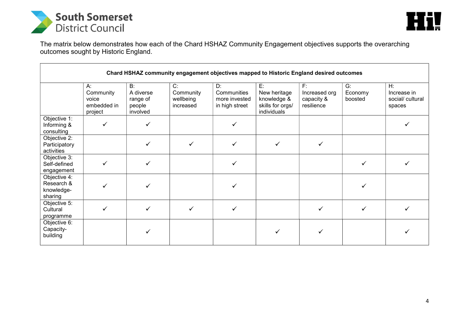



The matrix below demonstrates how each of the Chard HSHAZ Community Engagement objectives supports the overarching outcomes sought by Historic England.

| Chard HSHAZ community engagement objectives mapped to Historic England desired outcomes |                                                    |                                                   |                                           |                                                      |                                                                      |                                                    |                             |                                                    |  |
|-----------------------------------------------------------------------------------------|----------------------------------------------------|---------------------------------------------------|-------------------------------------------|------------------------------------------------------|----------------------------------------------------------------------|----------------------------------------------------|-----------------------------|----------------------------------------------------|--|
|                                                                                         | A:<br>Community<br>voice<br>embedded in<br>project | B:<br>A diverse<br>range of<br>people<br>involved | C:<br>Community<br>wellbeing<br>increased | D:<br>Communities<br>more invested<br>in high street | E:<br>New heritage<br>knowledge &<br>skills for orgs/<br>individuals | $F$ :<br>Increased org<br>capacity &<br>resilience | $G$ :<br>Economy<br>boosted | $H$ :<br>Increase in<br>social/ cultural<br>spaces |  |
| Objective 1:<br>Informing &<br>consulting                                               | ✓                                                  | ✓                                                 |                                           |                                                      |                                                                      |                                                    |                             |                                                    |  |
| Objective 2:<br>Participatory<br>activities                                             |                                                    | ✓                                                 |                                           | $\checkmark$                                         | ✓                                                                    | $\checkmark$                                       |                             |                                                    |  |
| Objective 3:<br>Self-defined<br>engagement                                              | ✓                                                  | ✓                                                 |                                           |                                                      |                                                                      |                                                    |                             |                                                    |  |
| Objective 4:<br>Research &<br>knowledge-<br>sharing                                     |                                                    |                                                   |                                           |                                                      |                                                                      |                                                    |                             |                                                    |  |
| Objective 5:<br>Cultural<br>programme                                                   | $\checkmark$                                       | ✓                                                 |                                           | ✓                                                    |                                                                      |                                                    | ✓                           |                                                    |  |
| Objective 6:<br>Capacity-<br>building                                                   |                                                    |                                                   |                                           |                                                      |                                                                      |                                                    |                             |                                                    |  |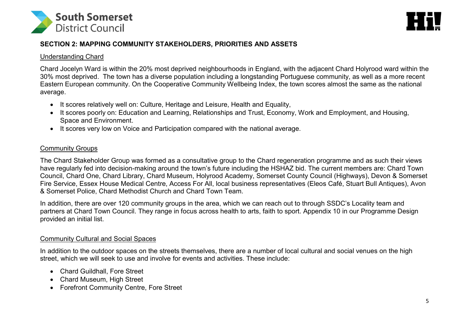



## SECTION 2: MAPPING COMMUNITY STAKEHOLDERS, PRIORITIES AND ASSETS

#### Understanding Chard

Chard Jocelyn Ward is within the 20% most deprived neighbourhoods in England, with the adjacent Chard Holyrood ward within the 30% most deprived. The town has a diverse population including a longstanding Portuguese community, as well as a more recent Eastern European community. On the Cooperative Community Wellbeing Index, the town scores almost the same as the national average.

- It scores relatively well on: Culture, Heritage and Leisure, Health and Equality,
- It scores poorly on: Education and Learning, Relationships and Trust, Economy, Work and Employment, and Housing, Space and Environment.
- It scores very low on Voice and Participation compared with the national average.

#### Community Groups

The Chard Stakeholder Group was formed as a consultative group to the Chard regeneration programme and as such their views have regularly fed into decision-making around the town's future including the HSHAZ bid. The current members are: Chard Town Council, Chard One, Chard Library, Chard Museum, Holyrood Academy, Somerset County Council (Highways), Devon & Somerset Fire Service, Essex House Medical Centre, Access For All, local business representatives (Eleos Café, Stuart Bull Antiques), Avon & Somerset Police, Chard Methodist Church and Chard Town Team.

In addition, there are over 120 community groups in the area, which we can reach out to through SSDC's Locality team and partners at Chard Town Council. They range in focus across health to arts, faith to sport. Appendix 10 in our Programme Design provided an initial list.

#### Community Cultural and Social Spaces

In addition to the outdoor spaces on the streets themselves, there are a number of local cultural and social venues on the high street, which we will seek to use and involve for events and activities. These include:

- Chard Guildhall, Fore Street
- Chard Museum, High Street
- Forefront Community Centre, Fore Street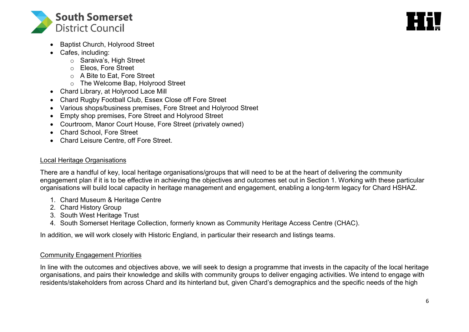



- Baptist Church, Holyrood Street
- Cafes, including:
	- o Saraiva's, High Street
	- o Eleos, Fore Street
	- o A Bite to Eat, Fore Street
	- o The Welcome Bap, Holyrood Street
- Chard Library, at Holyrood Lace Mill
- Chard Rugby Football Club, Essex Close off Fore Street
- Various shops/business premises, Fore Street and Holyrood Street
- Empty shop premises, Fore Street and Holyrood Street
- Courtroom, Manor Court House, Fore Street (privately owned)
- Chard School, Fore Street
- Chard Leisure Centre, off Fore Street.

## Local Heritage Organisations

There are a handful of key, local heritage organisations/groups that will need to be at the heart of delivering the community engagement plan if it is to be effective in achieving the objectives and outcomes set out in Section 1. Working with these particular organisations will build local capacity in heritage management and engagement, enabling a long-term legacy for Chard HSHAZ.

- 1. Chard Museum & Heritage Centre
- 2. Chard History Group
- 3. South West Heritage Trust
- 4. South Somerset Heritage Collection, formerly known as Community Heritage Access Centre (CHAC).

In addition, we will work closely with Historic England, in particular their research and listings teams.

## Community Engagement Priorities

In line with the outcomes and objectives above, we will seek to design a programme that invests in the capacity of the local heritage organisations, and pairs their knowledge and skills with community groups to deliver engaging activities. We intend to engage with residents/stakeholders from across Chard and its hinterland but, given Chard's demographics and the specific needs of the high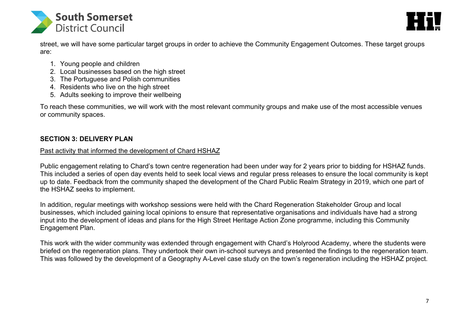



street, we will have some particular target groups in order to achieve the Community Engagement Outcomes. These target groups are:

- 1. Young people and children
- 2. Local businesses based on the high street
- 3. The Portuguese and Polish communities
- 4. Residents who live on the high street
- 5. Adults seeking to improve their wellbeing

To reach these communities, we will work with the most relevant community groups and make use of the most accessible venues or community spaces.

## SECTION 3: DELIVERY PLAN

## Past activity that informed the development of Chard HSHAZ

Public engagement relating to Chard's town centre regeneration had been under way for 2 years prior to bidding for HSHAZ funds. This included a series of open day events held to seek local views and regular press releases to ensure the local community is kept up to date. Feedback from the community shaped the development of the Chard Public Realm Strategy in 2019, which one part of the HSHAZ seeks to implement.

In addition, regular meetings with workshop sessions were held with the Chard Regeneration Stakeholder Group and local businesses, which included gaining local opinions to ensure that representative organisations and individuals have had a strong input into the development of ideas and plans for the High Street Heritage Action Zone programme, including this Community Engagement Plan.

This work with the wider community was extended through engagement with Chard's Holyrood Academy, where the students were briefed on the regeneration plans. They undertook their own in-school surveys and presented the findings to the regeneration team. This was followed by the development of a Geography A-Level case study on the town's regeneration including the HSHAZ project.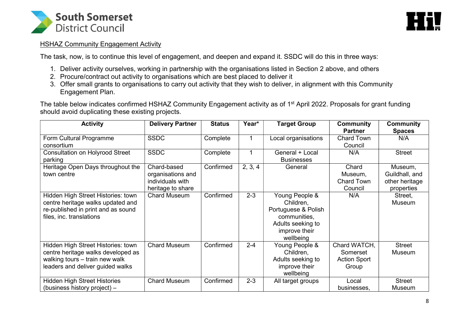



#### HSHAZ Community Engagement Activity

The task, now, is to continue this level of engagement, and deepen and expand it. SSDC will do this in three ways:

- 1. Deliver activity ourselves, working in partnership with the organisations listed in Section 2 above, and others
- 2. Procure/contract out activity to organisations which are best placed to deliver it
- 3. Offer small grants to organisations to carry out activity that they wish to deliver, in alignment with this Community Engagement Plan.

The table below indicates confirmed HSHAZ Community Engagement activity as of 1<sup>st</sup> April 2022. Proposals for grant funding should avoid duplicating these existing projects.

| <b>Activity</b>                                                                                                                                | <b>Delivery Partner</b>                                                   | <b>Status</b> | Year*        | <b>Target Group</b>                                                                                                   | <b>Community</b><br><b>Partner</b>                       | <b>Community</b><br><b>Spaces</b>                         |
|------------------------------------------------------------------------------------------------------------------------------------------------|---------------------------------------------------------------------------|---------------|--------------|-----------------------------------------------------------------------------------------------------------------------|----------------------------------------------------------|-----------------------------------------------------------|
| Form Cultural Programme<br>consortium                                                                                                          | <b>SSDC</b>                                                               | Complete      | $\mathbf{1}$ | Local organisations                                                                                                   | Chard Town<br>Council                                    | N/A                                                       |
| <b>Consultation on Holyrood Street</b><br>parking                                                                                              | <b>SSDC</b>                                                               | Complete      | 1            | General + Local<br><b>Businesses</b>                                                                                  | N/A                                                      | <b>Street</b>                                             |
| Heritage Open Days throughout the<br>town centre                                                                                               | Chard-based<br>organisations and<br>individuals with<br>heritage to share | Confirmed     | 2, 3, 4      | General                                                                                                               | Chard<br>Museum,<br><b>Chard Town</b><br>Council         | Museum,<br>Guildhall, and<br>other heritage<br>properties |
| Hidden High Street Histories: town<br>centre heritage walks updated and<br>re-published in print and as sound<br>files, inc. translations      | <b>Chard Museum</b>                                                       | Confirmed     | $2 - 3$      | Young People &<br>Children,<br>Portuguese & Polish<br>communities,<br>Adults seeking to<br>improve their<br>wellbeing | N/A                                                      | Street,<br><b>Museum</b>                                  |
| Hidden High Street Histories: town<br>centre heritage walks developed as<br>walking tours – train new walk<br>leaders and deliver guided walks | <b>Chard Museum</b>                                                       | Confirmed     | $2 - 4$      | Young People &<br>Children,<br>Adults seeking to<br>improve their<br>wellbeing                                        | Chard WATCH,<br>Somerset<br><b>Action Sport</b><br>Group | <b>Street</b><br>Museum                                   |
| <b>Hidden High Street Histories</b><br>(business history project) -                                                                            | <b>Chard Museum</b>                                                       | Confirmed     | $2 - 3$      | All target groups                                                                                                     | Local<br>businesses,                                     | <b>Street</b><br>Museum                                   |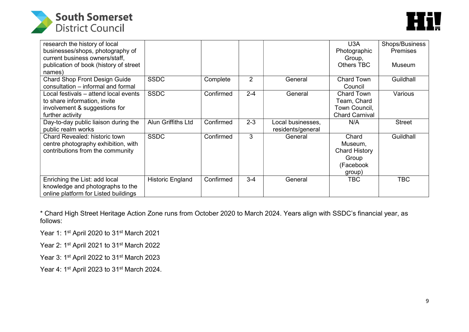



| research the history of local          |                         |           |                |                   | U3A                   | Shops/Business  |
|----------------------------------------|-------------------------|-----------|----------------|-------------------|-----------------------|-----------------|
| businesses/shops, photography of       |                         |           |                |                   | Photographic          | <b>Premises</b> |
| current business owners/staff,         |                         |           |                |                   | Group,                |                 |
| publication of book (history of street |                         |           |                |                   | <b>Others TBC</b>     | Museum          |
| names)                                 |                         |           |                |                   |                       |                 |
| Chard Shop Front Design Guide          | <b>SSDC</b>             | Complete  | $\overline{2}$ | General           | <b>Chard Town</b>     | Guildhall       |
| consultation - informal and formal     |                         |           |                |                   | Council               |                 |
| Local festivals – attend local events  | <b>SSDC</b>             | Confirmed | $2 - 4$        | General           | <b>Chard Town</b>     | Various         |
| to share information, invite           |                         |           |                |                   | Team, Chard           |                 |
| involvement & suggestions for          |                         |           |                |                   | Town Council,         |                 |
| further activity                       |                         |           |                |                   | <b>Chard Carnival</b> |                 |
| Day-to-day public liaison during the   | Alun Griffiths Ltd      | Confirmed | $2 - 3$        | Local businesses, | N/A                   | <b>Street</b>   |
| public realm works                     |                         |           |                | residents/general |                       |                 |
| Chard Revealed: historic town          | <b>SSDC</b>             | Confirmed | 3              | General           | Chard                 | Guildhall       |
| centre photography exhibition, with    |                         |           |                |                   | Museum,               |                 |
| contributions from the community       |                         |           |                |                   | Chard History         |                 |
|                                        |                         |           |                |                   | Group                 |                 |
|                                        |                         |           |                |                   | (Facebook             |                 |
|                                        |                         |           |                |                   | group)                |                 |
| Enriching the List: add local          | <b>Historic England</b> | Confirmed | $3-4$          | General           | <b>TBC</b>            | TBC             |
| knowledge and photographs to the       |                         |           |                |                   |                       |                 |
| online platform for Listed buildings   |                         |           |                |                   |                       |                 |

\* Chard High Street Heritage Action Zone runs from October 2020 to March 2024. Years align with SSDC's financial year, as follows:

Year 1: 1st April 2020 to 31st March 2021

Year 2: 1st April 2021 to 31st March 2022

Year 3: 1<sup>st</sup> April 2022 to 31<sup>st</sup> March 2023

Year 4: 1<sup>st</sup> April 2023 to 31<sup>st</sup> March 2024.